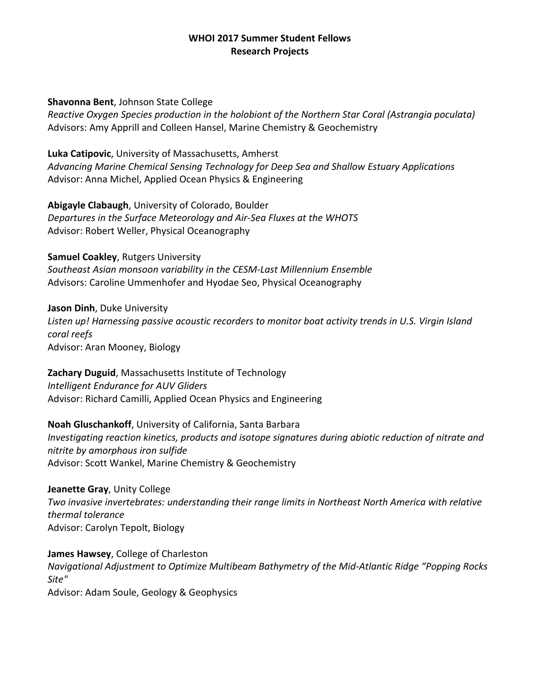### **WHOI 2017 Summer Student Fellows Research Projects**

#### **Shavonna Bent**, Johnson State College

*Reactive Oxygen Species production in the holobiont of the Northern Star Coral (Astrangia poculata)*  Advisors: Amy Apprill and Colleen Hansel, Marine Chemistry & Geochemistry

**Luka Catipovic**, University of Massachusetts, Amherst *Advancing Marine Chemical Sensing Technology for Deep Sea and Shallow Estuary Applications* Advisor: Anna Michel, Applied Ocean Physics & Engineering

**Abigayle Clabaugh**, University of Colorado, Boulder *Departures in the Surface Meteorology and Air-Sea Fluxes at the WHOTS* Advisor: Robert Weller, Physical Oceanography

**Samuel Coakley**, Rutgers University

*Southeast Asian monsoon variability in the CESM-Last Millennium Ensemble* Advisors: Caroline Ummenhofer and Hyodae Seo, Physical Oceanography

**Jason Dinh**, Duke University *Listen up! Harnessing passive acoustic recorders to monitor boat activity trends in U.S. Virgin Island coral reefs* Advisor: Aran Mooney, Biology

**Zachary Duguid**, Massachusetts Institute of Technology *Intelligent Endurance for AUV Gliders* Advisor: Richard Camilli, Applied Ocean Physics and Engineering

**Noah Gluschankoff**, University of California, Santa Barbara *Investigating reaction kinetics, products and isotope signatures during abiotic reduction of nitrate and nitrite by amorphous iron sulfide* Advisor: Scott Wankel, Marine Chemistry & Geochemistry

**Jeanette Gray**, Unity College *Two invasive invertebrates: understanding their range limits in Northeast North America with relative thermal tolerance* Advisor: Carolyn Tepolt, Biology

**James Hawsey**, College of Charleston *Navigational Adjustment to Optimize Multibeam Bathymetry of the Mid-Atlantic Ridge "Popping Rocks Site"* Advisor: Adam Soule, Geology & Geophysics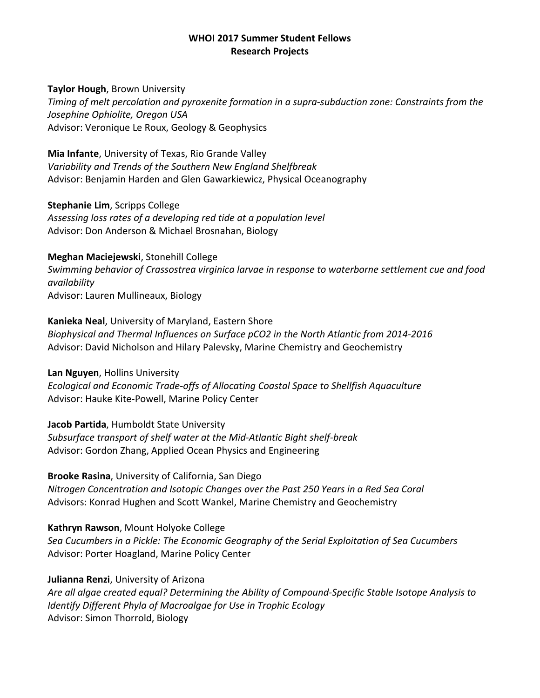### **WHOI 2017 Summer Student Fellows Research Projects**

#### **Taylor Hough**, Brown University

*Timing of melt percolation and pyroxenite formation in a supra-subduction zone: Constraints from the Josephine Ophiolite, Oregon USA* Advisor: Veronique Le Roux, Geology & Geophysics

**Mia Infante**, University of Texas, Rio Grande Valley *Variability and Trends of the Southern New England Shelfbreak* Advisor: Benjamin Harden and Glen Gawarkiewicz, Physical Oceanography

**Stephanie Lim**, Scripps College *Assessing loss rates of a developing red tide at a population level* Advisor: Don Anderson & Michael Brosnahan, Biology

### **Meghan Maciejewski**, Stonehill College

*Swimming behavior of Crassostrea virginica larvae in response to waterborne settlement cue and food availability* Advisor: Lauren Mullineaux, Biology

**Kanieka Neal**, University of Maryland, Eastern Shore

*Biophysical and Thermal Influences on Surface pCO2 in the North Atlantic from 2014-2016* Advisor: David Nicholson and Hilary Palevsky, Marine Chemistry and Geochemistry

**Lan Nguyen**, Hollins University *Ecological and Economic Trade-offs of Allocating Coastal Space to Shellfish Aquaculture* Advisor: Hauke Kite-Powell, Marine Policy Center

**Jacob Partida**, Humboldt State University *Subsurface transport of shelf water at the Mid-Atlantic Bight shelf-break* Advisor: Gordon Zhang, Applied Ocean Physics and Engineering

**Brooke Rasina**, University of California, San Diego *Nitrogen Concentration and Isotopic Changes over the Past 250 Years in a Red Sea Coral* Advisors: Konrad Hughen and Scott Wankel, Marine Chemistry and Geochemistry

## **Kathryn Rawson**, Mount Holyoke College

*Sea Cucumbers in a Pickle: The Economic Geography of the Serial Exploitation of Sea Cucumbers* Advisor: Porter Hoagland, Marine Policy Center

**Julianna Renzi**, University of Arizona

*Are all algae created equal? Determining the Ability of Compound-Specific Stable Isotope Analysis to Identify Different Phyla of Macroalgae for Use in Trophic Ecology* Advisor: Simon Thorrold, Biology